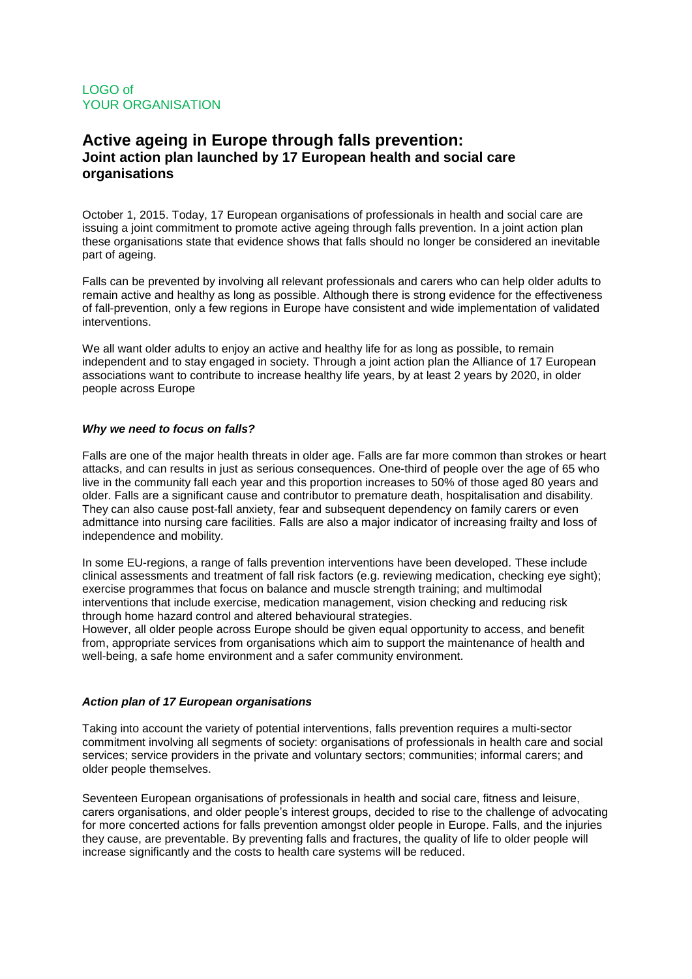## **Active ageing in Europe through falls prevention: Joint action plan launched by 17 European health and social care organisations**

October 1, 2015. Today, 17 European organisations of professionals in health and social care are issuing a joint commitment to promote active ageing through falls prevention. In a joint action plan these organisations state that evidence shows that falls should no longer be considered an inevitable part of ageing.

Falls can be prevented by involving all relevant professionals and carers who can help older adults to remain active and healthy as long as possible. Although there is strong evidence for the effectiveness of fall-prevention, only a few regions in Europe have consistent and wide implementation of validated interventions.

We all want older adults to enjoy an active and healthy life for as long as possible, to remain independent and to stay engaged in society. Through a joint action plan the Alliance of 17 European associations want to contribute to increase healthy life years, by at least 2 years by 2020, in older people across Europe

## *Why we need to focus on falls?*

Falls are one of the major health threats in older age. Falls are far more common than strokes or heart attacks, and can results in just as serious consequences. One-third of people over the age of 65 who live in the community fall each year and this proportion increases to 50% of those aged 80 years and older. Falls are a significant cause and contributor to premature death, hospitalisation and disability. They can also cause post-fall anxiety, fear and subsequent dependency on family carers or even admittance into nursing care facilities. Falls are also a major indicator of increasing frailty and loss of independence and mobility.

In some EU-regions, a range of falls prevention interventions have been developed. These include clinical assessments and treatment of fall risk factors (e.g. reviewing medication, checking eye sight); exercise programmes that focus on balance and muscle strength training; and multimodal interventions that include exercise, medication management, vision checking and reducing risk through home hazard control and altered behavioural strategies.

However, all older people across Europe should be given equal opportunity to access, and benefit from, appropriate services from organisations which aim to support the maintenance of health and well-being, a safe home environment and a safer community environment.

## *Action plan of 17 European organisations*

Taking into account the variety of potential interventions, falls prevention requires a multi-sector commitment involving all segments of society: organisations of professionals in health care and social services; service providers in the private and voluntary sectors; communities; informal carers; and older people themselves.

Seventeen European organisations of professionals in health and social care, fitness and leisure, carers organisations, and older people's interest groups, decided to rise to the challenge of advocating for more concerted actions for falls prevention amongst older people in Europe. Falls, and the injuries they cause, are preventable. By preventing falls and fractures, the quality of life to older people will increase significantly and the costs to health care systems will be reduced.